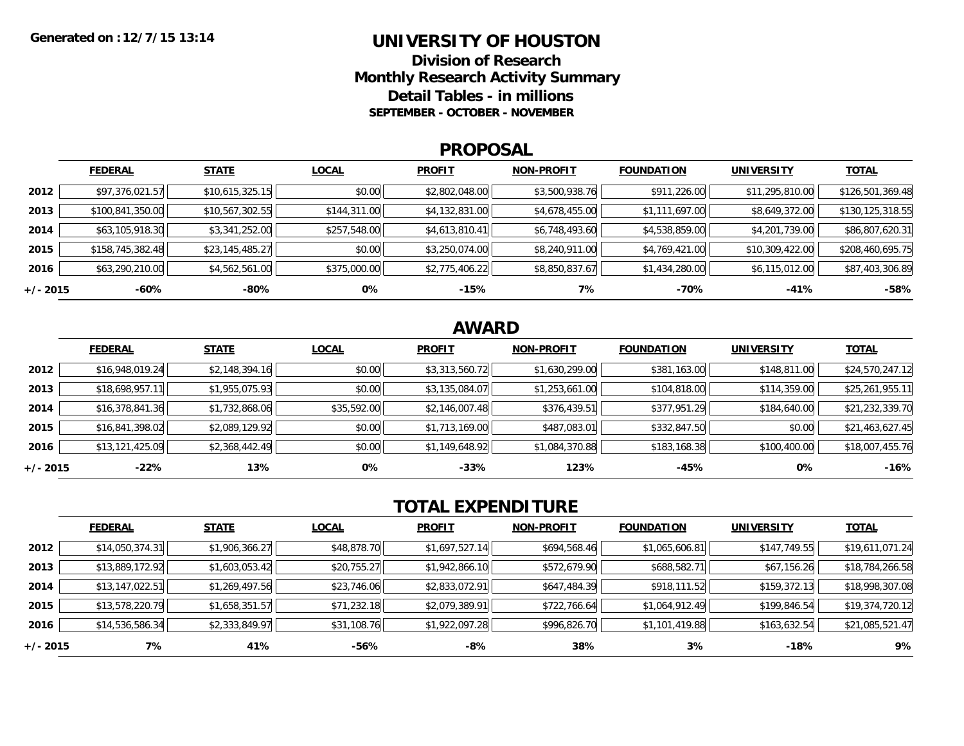### **UNIVERSITY OF HOUSTON**

**Division of ResearchMonthly Research Activity Summary Detail Tables - in millions SEPTEMBER - OCTOBER - NOVEMBER**

#### **PROPOSAL**

|            | <b>FEDERAL</b>   | <b>STATE</b>    | <b>LOCAL</b> | <b>PROFIT</b>  | <b>NON-PROFIT</b> | <b>FOUNDATION</b> | <b>UNIVERSITY</b> | <b>TOTAL</b>     |
|------------|------------------|-----------------|--------------|----------------|-------------------|-------------------|-------------------|------------------|
| 2012       | \$97,376,021.57  | \$10,615,325.15 | \$0.00       | \$2,802,048.00 | \$3,500,938.76    | \$911,226.00      | \$11,295,810.00   | \$126,501,369.48 |
| 2013       | \$100,841,350.00 | \$10,567,302.55 | \$144,311.00 | \$4,132,831.00 | \$4,678,455.00    | \$1,111,697.00    | \$8,649,372.00    | \$130,125,318.55 |
| 2014       | \$63,105,918.30  | \$3,341,252.00  | \$257,548.00 | \$4,613,810.41 | \$6,748,493.60    | \$4,538,859.00    | \$4,201,739.00    | \$86,807,620.31  |
| 2015       | \$158,745,382.48 | \$23,145,485.27 | \$0.00       | \$3,250,074.00 | \$8,240,911.00    | \$4,769,421.00    | \$10,309,422.00   | \$208,460,695.75 |
| 2016       | \$63,290,210.00  | \$4,562,561.00  | \$375,000.00 | \$2,775,406.22 | \$8,850,837.67    | \$1,434,280.00    | \$6,115,012.00    | \$87,403,306.89  |
| $+/- 2015$ | -60%             | -80%            | 0%           | $-15%$         | 7%                | -70%              | -41%              | $-58%$           |

## **AWARD**

|          | <b>FEDERAL</b>  | <b>STATE</b>   | <b>LOCAL</b> | <b>PROFIT</b>  | <b>NON-PROFIT</b> | <b>FOUNDATION</b> | <b>UNIVERSITY</b> | <b>TOTAL</b>    |
|----------|-----------------|----------------|--------------|----------------|-------------------|-------------------|-------------------|-----------------|
| 2012     | \$16,948,019.24 | \$2,148,394.16 | \$0.00       | \$3,313,560.72 | \$1,630,299.00    | \$381,163.00      | \$148,811.00      | \$24,570,247.12 |
| 2013     | \$18,698,957.11 | \$1,955,075.93 | \$0.00       | \$3,135,084.07 | \$1,253,661.00    | \$104,818.00      | \$114,359.00      | \$25,261,955.11 |
| 2014     | \$16,378,841.36 | \$1,732,868.06 | \$35,592.00  | \$2,146,007.48 | \$376,439.51      | \$377,951.29      | \$184,640.00      | \$21,232,339.70 |
| 2015     | \$16,841,398.02 | \$2,089,129.92 | \$0.00       | \$1,713,169.00 | \$487,083.01      | \$332,847.50      | \$0.00            | \$21,463,627.45 |
| 2016     | \$13,121,425.09 | \$2,368,442.49 | \$0.00       | \$1,149,648.92 | \$1,084,370.88    | \$183,168.38      | \$100,400.00      | \$18,007,455.76 |
| +/- 2015 | $-22\%$         | 13%            | 0%           | $-33%$         | 123%              | -45%              | 0%                | $-16%$          |

# **TOTAL EXPENDITURE**

|          | <b>FEDERAL</b>  | <b>STATE</b>   | <b>LOCAL</b> | <b>PROFIT</b>  | <b>NON-PROFIT</b> | <b>FOUNDATION</b> | <b>UNIVERSITY</b> | <b>TOTAL</b>    |
|----------|-----------------|----------------|--------------|----------------|-------------------|-------------------|-------------------|-----------------|
| 2012     | \$14,050,374.31 | \$1,906,366.27 | \$48,878.70  | \$1,697,527.14 | \$694,568.46      | \$1,065,606.81    | \$147,749.55      | \$19,611,071.24 |
| 2013     | \$13,889,172.92 | \$1,603,053.42 | \$20,755.27  | \$1,942,866.10 | \$572,679.90      | \$688,582.71      | \$67,156.26       | \$18,784,266.58 |
| 2014     | \$13,147,022.51 | \$1,269,497.56 | \$23,746.06  | \$2,833,072.91 | \$647,484.39      | \$918,111.52      | \$159,372.13      | \$18,998,307.08 |
| 2015     | \$13,578,220.79 | \$1,658,351.57 | \$71,232.18  | \$2,079,389.91 | \$722,766.64      | \$1,064,912.49    | \$199,846.54      | \$19,374,720.12 |
| 2016     | \$14,536,586.34 | \$2,333,849.97 | \$31,108.76  | \$1,922,097.28 | \$996,826.70      | \$1,101,419.88    | \$163,632.54      | \$21,085,521.47 |
| +/- 2015 | 7%              | 41%            | -56%         | -8%            | 38%               | 3%                | -18%              | 9%              |